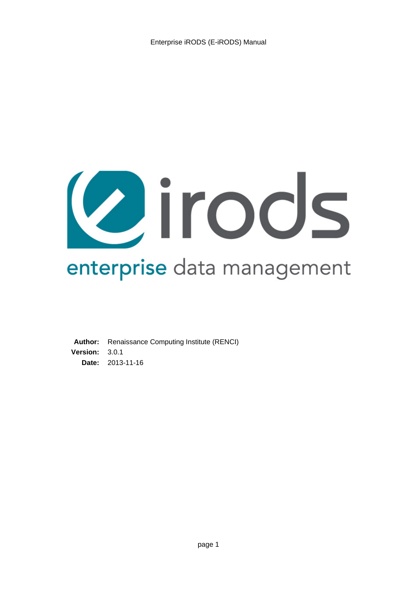

**Author:** Renaissance Computing Institute (RENCI) **Version:** 3.0.1 **Date:** 2013-11-16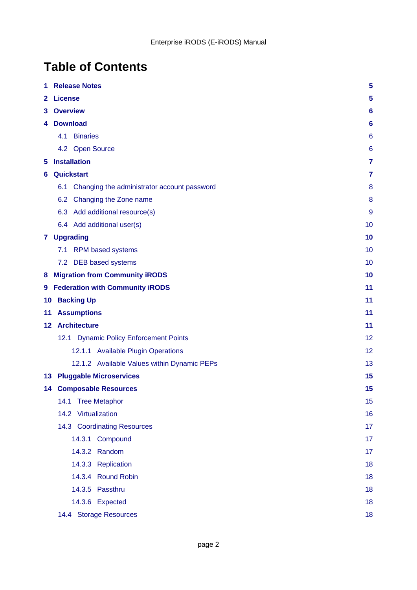# **Table of Contents**

| 1.              | <b>Release Notes</b><br>5                          |    |  |  |  |  |
|-----------------|----------------------------------------------------|----|--|--|--|--|
| 2               | <b>License</b>                                     |    |  |  |  |  |
| 3               | <b>Overview</b><br>6                               |    |  |  |  |  |
| 4               | <b>Download</b><br>6                               |    |  |  |  |  |
|                 | <b>Binaries</b><br>4.1                             | 6  |  |  |  |  |
|                 | 4.2 Open Source                                    | 6  |  |  |  |  |
| 5               | <b>Installation</b>                                | 7  |  |  |  |  |
| 6               | <b>Quickstart</b>                                  | 7  |  |  |  |  |
|                 | Changing the administrator account password<br>6.1 | 8  |  |  |  |  |
|                 | 6.2 Changing the Zone name                         | 8  |  |  |  |  |
|                 | 6.3 Add additional resource(s)                     | 9  |  |  |  |  |
|                 | 6.4 Add additional user(s)                         | 10 |  |  |  |  |
|                 | 7 Upgrading                                        | 10 |  |  |  |  |
|                 | <b>RPM based systems</b><br>7.1                    | 10 |  |  |  |  |
|                 | 7.2 DEB based systems                              | 10 |  |  |  |  |
| 8               | <b>Migration from Community iRODS</b>              | 10 |  |  |  |  |
| 9               | <b>Federation with Community iRODS</b>             | 11 |  |  |  |  |
| 10              | <b>Backing Up</b>                                  | 11 |  |  |  |  |
| 11              | <b>Assumptions</b>                                 | 11 |  |  |  |  |
| 12 Architecture |                                                    |    |  |  |  |  |
|                 | 12.1 Dynamic Policy Enforcement Points             | 12 |  |  |  |  |
|                 | 12.1.1 Available Plugin Operations                 | 12 |  |  |  |  |
|                 | 12.1.2 Available Values within Dynamic PEPs        | 13 |  |  |  |  |
| 13              | <b>Pluggable Microservices</b>                     | 15 |  |  |  |  |
| 14              | <b>Composable Resources</b>                        | 15 |  |  |  |  |
|                 | <b>Tree Metaphor</b><br>14.1                       | 15 |  |  |  |  |
|                 | 14.2 Virtualization                                | 16 |  |  |  |  |
|                 | 14.3 Coordinating Resources                        | 17 |  |  |  |  |
|                 | 14.3.1 Compound                                    | 17 |  |  |  |  |
|                 | 14.3.2 Random                                      | 17 |  |  |  |  |
|                 | 14.3.3 Replication                                 | 18 |  |  |  |  |
|                 | 14.3.4 Round Robin                                 | 18 |  |  |  |  |
|                 | 14.3.5 Passthru                                    | 18 |  |  |  |  |
|                 | 14.3.6 Expected                                    | 18 |  |  |  |  |
|                 | 14.4 Storage Resources                             | 18 |  |  |  |  |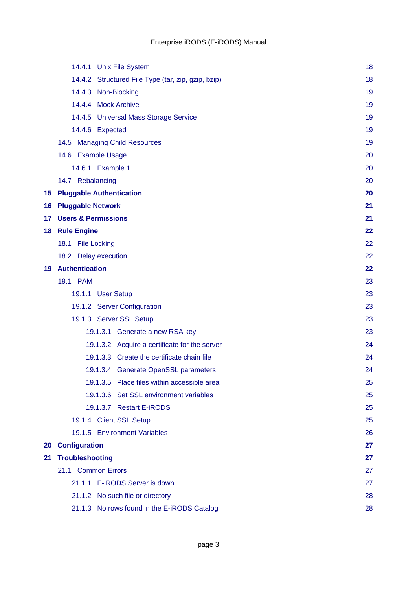### Enterprise iRODS (E-iRODS) Manual

|    | 14.4.1 Unix File System                            | 18 |
|----|----------------------------------------------------|----|
|    | 14.4.2 Structured File Type (tar, zip, gzip, bzip) | 18 |
|    | 14.4.3 Non-Blocking                                | 19 |
|    | 14.4.4 Mock Archive                                | 19 |
|    | 14.4.5 Universal Mass Storage Service              | 19 |
|    | 14.4.6 Expected                                    | 19 |
|    | 14.5 Managing Child Resources                      | 19 |
|    | 14.6 Example Usage                                 | 20 |
|    | 14.6.1 Example 1                                   | 20 |
|    | 14.7 Rebalancing                                   | 20 |
|    | <b>15 Pluggable Authentication</b>                 | 20 |
| 16 | <b>Pluggable Network</b>                           | 21 |
| 17 | <b>Users &amp; Permissions</b>                     | 21 |
| 18 | <b>Rule Engine</b>                                 | 22 |
|    | 18.1 File Locking                                  | 22 |
|    | 18.2 Delay execution                               | 22 |
|    | <b>19 Authentication</b>                           | 22 |
|    | 19.1 PAM                                           | 23 |
|    | 19.1.1 User Setup                                  | 23 |
|    | 19.1.2 Server Configuration                        | 23 |
|    | 19.1.3 Server SSL Setup                            | 23 |
|    | 19.1.3.1 Generate a new RSA key                    | 23 |
|    | 19.1.3.2 Acquire a certificate for the server      | 24 |
|    | 19.1.3.3 Create the certificate chain file         | 24 |
|    | 19.1.3.4 Generate OpenSSL parameters               | 24 |
|    | 19.1.3.5 Place files within accessible area        | 25 |
|    | 19.1.3.6 Set SSL environment variables             | 25 |
|    | 19.1.3.7 Restart E-iRODS                           | 25 |
|    | 19.1.4 Client SSL Setup                            | 25 |
|    | 19.1.5 Environment Variables                       | 26 |
| 20 | <b>Configuration</b>                               | 27 |
| 21 | <b>Troubleshooting</b>                             | 27 |
|    | 21.1 Common Errors                                 | 27 |
|    | 21.1.1 E-iRODS Server is down                      | 27 |
|    | 21.1.2 No such file or directory                   | 28 |
|    | 21.1.3 No rows found in the E-iRODS Catalog        | 28 |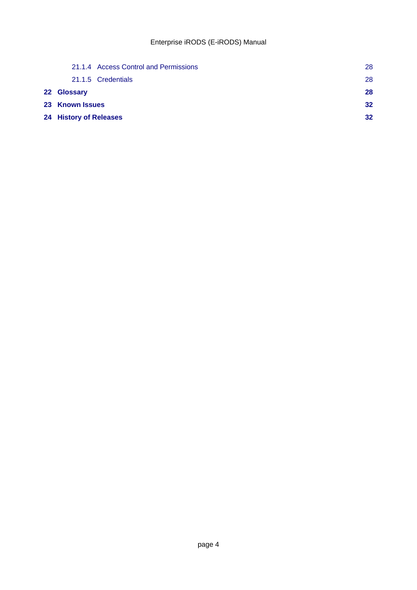| 21.1.4 Access Control and Permissions            | 28              |
|--------------------------------------------------|-----------------|
| 21.1.5 Credentials                               | 28              |
| 22 Glossary                                      | 28              |
| 23 Known Issues                                  | 32 <sub>2</sub> |
| <b>24 History of Releases</b><br>32 <sub>2</sub> |                 |
|                                                  |                 |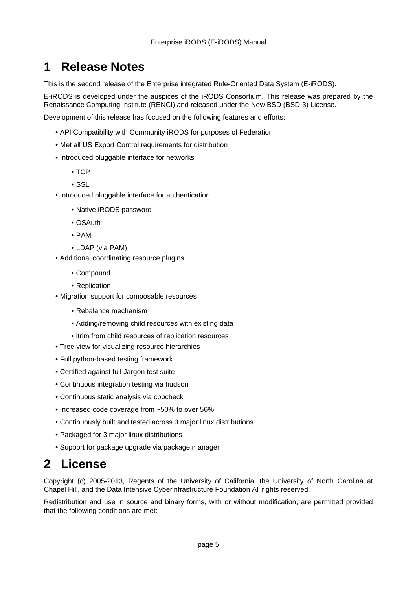# <span id="page-4-0"></span>**1 Release Notes**

This is the second release of the Enterprise integrated Rule-Oriented Data System (E-iRODS).

E-iRODS is developed under the auspices of the iRODS Consortium. This release was prepared by the Renaissance Computing Institute (RENCI) and released under the New BSD (BSD-3) License.

Development of this release has focused on the following features and efforts:

- API Compatibility with Community iRODS for purposes of Federation
- Met all US Export Control requirements for distribution
- Introduced pluggable interface for networks
	- TCP
	- SSL
- Introduced pluggable interface for authentication
	- Native iRODS password
	- OSAuth
	- PAM
	- LDAP (via PAM)
- Additional coordinating resource plugins
	- Compound
	- Replication
- Migration support for composable resources
	- Rebalance mechanism
	- Adding/removing child resources with existing data
	- itrim from child resources of replication resources
- Tree view for visualizing resource hierarchies
- Full python-based testing framework
- Certified against full Jargon test suite
- Continuous integration testing via hudson
- Continuous static analysis via cppcheck
- Increased code coverage from ~50% to over 56%
- Continuously built and tested across 3 major linux distributions
- Packaged for 3 major linux distributions
- Support for package upgrade via package manager

# <span id="page-4-1"></span>**2 License**

Copyright (c) 2005-2013, Regents of the University of California, the University of North Carolina at Chapel Hill, and the Data Intensive Cyberinfrastructure Foundation All rights reserved.

Redistribution and use in source and binary forms, with or without modification, are permitted provided that the following conditions are met: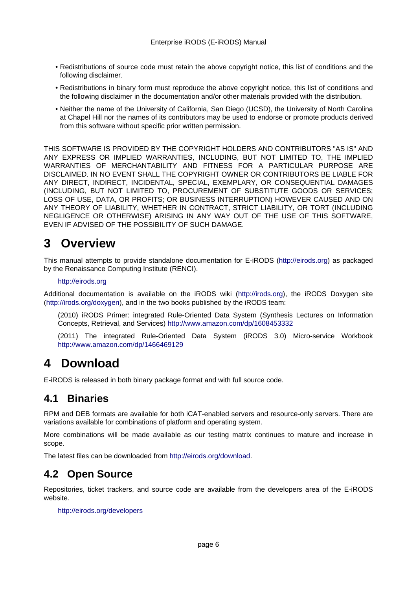- Redistributions of source code must retain the above copyright notice, this list of conditions and the following disclaimer.
- Redistributions in binary form must reproduce the above copyright notice, this list of conditions and the following disclaimer in the documentation and/or other materials provided with the distribution.
- Neither the name of the University of California, San Diego (UCSD), the University of North Carolina at Chapel Hill nor the names of its contributors may be used to endorse or promote products derived from this software without specific prior written permission.

THIS SOFTWARE IS PROVIDED BY THE COPYRIGHT HOLDERS AND CONTRIBUTORS "AS IS" AND ANY EXPRESS OR IMPLIED WARRANTIES, INCLUDING, BUT NOT LIMITED TO, THE IMPLIED WARRANTIES OF MERCHANTABILITY AND FITNESS FOR A PARTICULAR PURPOSE ARE DISCLAIMED. IN NO EVENT SHALL THE COPYRIGHT OWNER OR CONTRIBUTORS BE LIABLE FOR ANY DIRECT, INDIRECT, INCIDENTAL, SPECIAL, EXEMPLARY, OR CONSEQUENTIAL DAMAGES (INCLUDING, BUT NOT LIMITED TO, PROCUREMENT OF SUBSTITUTE GOODS OR SERVICES; LOSS OF USE, DATA, OR PROFITS; OR BUSINESS INTERRUPTION) HOWEVER CAUSED AND ON ANY THEORY OF LIABILITY, WHETHER IN CONTRACT, STRICT LIABILITY, OR TORT (INCLUDING NEGLIGENCE OR OTHERWISE) ARISING IN ANY WAY OUT OF THE USE OF THIS SOFTWARE, EVEN IF ADVISED OF THE POSSIBILITY OF SUCH DAMAGE.

# <span id="page-5-0"></span>**3 Overview**

This manual attempts to provide standalone documentation for E-iRODS [\(http://eirods.org\)](http://eirods.org) as packaged by the Renaissance Computing Institute (RENCI).

<http://eirods.org>

Additional documentation is available on the iRODS wiki [\(http://irods.org\)](http://irods.org), the iRODS Doxygen site [\(http://irods.org/doxygen\)](http://irods.org/doxygen), and in the two books published by the iRODS team:

(2010) iRODS Primer: integrated Rule-Oriented Data System (Synthesis Lectures on Information Concepts, Retrieval, and Services)<http://www.amazon.com/dp/1608453332>

(2011) The integrated Rule-Oriented Data System (iRODS 3.0) Micro-service Workbook <http://www.amazon.com/dp/1466469129>

# <span id="page-5-1"></span>**4 Download**

E-iRODS is released in both binary package format and with full source code.

## <span id="page-5-2"></span>**4.1 Binaries**

RPM and DEB formats are available for both iCAT-enabled servers and resource-only servers. There are variations available for combinations of platform and operating system.

More combinations will be made available as our testing matrix continues to mature and increase in scope.

The latest files can be downloaded from<http://eirods.org/download>.

## <span id="page-5-3"></span>**4.2 Open Source**

Repositories, ticket trackers, and source code are available from the developers area of the E-iRODS website.

<http://eirods.org/developers>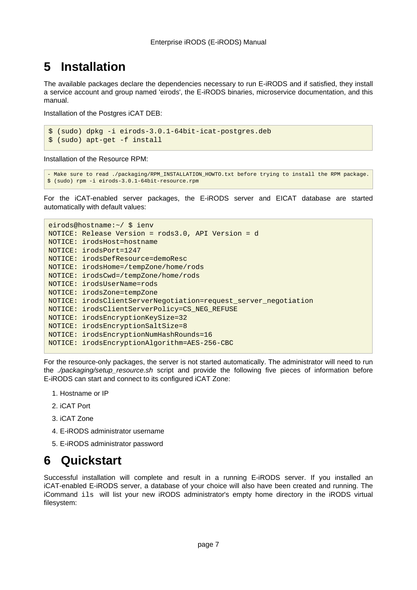# <span id="page-6-0"></span>**5 Installation**

The available packages declare the dependencies necessary to run E-iRODS and if satisfied, they install a service account and group named 'eirods', the E-iRODS binaries, microservice documentation, and this manual.

Installation of the Postgres iCAT DEB:

```
$ (sudo) dpkg -i eirods-3.0.1-64bit-icat-postgres.deb
$ (sudo) apt-get -f install
```
Installation of the Resource RPM:

```
- Make sure to read ./packaging/RPM_INSTALLATION_HOWTO.txt before trying to install the RPM package.
$ (sudo) rpm -i eirods-3.0.1-64bit-resource.rpm
```
For the iCAT-enabled server packages, the E-iRODS server and EICAT database are started automatically with default values:

```
eirods@hostname:~/ $ ienv
NOTICE: Release Version = rods3.0, API Version = d
NOTICE: irodsHost=hostname
NOTICE: irodsPort=1247
NOTICE: irodsDefResource=demoResc
NOTICE: irodsHome=/tempZone/home/rods
NOTICE: irodsCwd=/tempZone/home/rods
NOTICE: irodsUserName=rods
NOTICE: irodsZone=tempZone
NOTICE: irodsClientServerNegotiation=request_server_negotiation
NOTICE: irodsClientServerPolicy=CS_NEG_REFUSE
NOTICE: irodsEncryptionKeySize=32
NOTICE: irodsEncryptionSaltSize=8
NOTICE: irodsEncryptionNumHashRounds=16
NOTICE: irodsEncryptionAlgorithm=AES-256-CBC
```
For the resource-only packages, the server is not started automatically. The administrator will need to run the ./packaging/setup\_resource.sh script and provide the following five pieces of information before E-iRODS can start and connect to its configured iCAT Zone:

- 1. Hostname or IP
- 2. iCAT Port
- 3. iCAT Zone
- 4. E-iRODS administrator username
- 5. E-iRODS administrator password

# <span id="page-6-1"></span>**6 Quickstart**

Successful installation will complete and result in a running E-iRODS server. If you installed an iCAT-enabled E-iRODS server, a database of your choice will also have been created and running. The iCommand ils will list your new iRODS administrator's empty home directory in the iRODS virtual filesystem: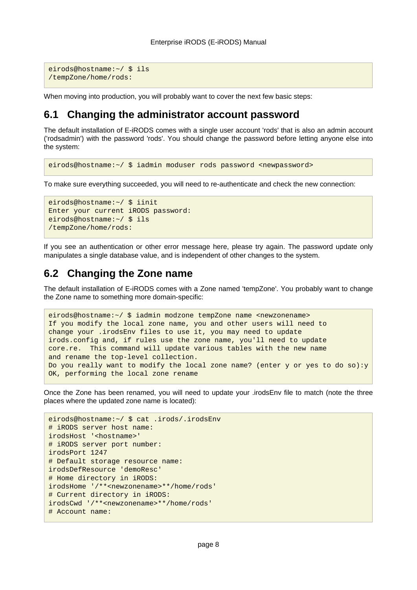```
eirods@hostname:~/ $ ils
/tempZone/home/rods:
```
When moving into production, you will probably want to cover the next few basic steps:

## <span id="page-7-0"></span>**6.1 Changing the administrator account password**

The default installation of E-iRODS comes with a single user account 'rods' that is also an admin account ('rodsadmin') with the password 'rods'. You should change the password before letting anyone else into the system:

```
eirods@hostname:~/ $ iadmin moduser rods password <newpassword>
```
To make sure everything succeeded, you will need to re-authenticate and check the new connection:

```
eirods@hostname:~/ $ iinit
Enter your current iRODS password:
eirods@hostname:~/ $ ils
/tempZone/home/rods:
```
If you see an authentication or other error message here, please try again. The password update only manipulates a single database value, and is independent of other changes to the system.

## <span id="page-7-1"></span>**6.2 Changing the Zone name**

The default installation of E-iRODS comes with a Zone named 'tempZone'. You probably want to change the Zone name to something more domain-specific:

```
eirods@hostname:~/ $ iadmin modzone tempZone name <newzonename>
If you modify the local zone name, you and other users will need to
change your .irodsEnv files to use it, you may need to update
irods.config and, if rules use the zone name, you'll need to update
core.re. This command will update various tables with the new name
and rename the top-level collection.
Do you really want to modify the local zone name? (enter y or yes to do so):y
OK, performing the local zone rename
```
Once the Zone has been renamed, you will need to update your .irodsEnv file to match (note the three places where the updated zone name is located):

```
eirods@hostname:~/ $ cat .irods/.irodsEnv
# iRODS server host name:
irodsHost '<hostname>'
# iRODS server port number:
irodsPort 1247
# Default storage resource name:
irodsDefResource 'demoResc'
# Home directory in iRODS:
irodsHome '/**<newzonename>**/home/rods'
# Current directory in iRODS:
irodsCwd '/**<newzonename>**/home/rods'
# Account name:
```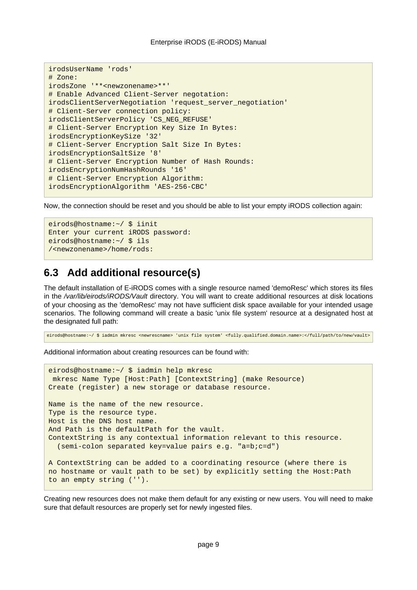```
irodsUserName 'rods'
# Zone:
irodsZone '**<newzonename>**'
# Enable Advanced Client-Server negotation:
irodsClientServerNegotiation 'request_server_negotiation'
# Client-Server connection policy:
irodsClientServerPolicy 'CS_NEG_REFUSE'
# Client-Server Encryption Key Size In Bytes:
irodsEncryptionKeySize '32'
# Client-Server Encryption Salt Size In Bytes:
irodsEncryptionSaltSize '8'
# Client-Server Encryption Number of Hash Rounds:
irodsEncryptionNumHashRounds '16'
# Client-Server Encryption Algorithm:
irodsEncryptionAlgorithm 'AES-256-CBC'
```
Now, the connection should be reset and you should be able to list your empty iRODS collection again:

eirods@hostname:~/ \$ iinit Enter your current iRODS password: eirods@hostname:~/ \$ ils /<newzonename>/home/rods:

## <span id="page-8-0"></span>**6.3 Add additional resource(s)**

The default installation of E-iRODS comes with a single resource named 'demoResc' which stores its files in the /var/lib/eirods/iRODS/Vault directory. You will want to create additional resources at disk locations of your choosing as the 'demoResc' may not have sufficient disk space available for your intended usage scenarios. The following command will create a basic 'unix file system' resource at a designated host at the designated full path:

eirods@hostname:~/ \$ iadmin mkresc <newrescname> 'unix file system' <fully.qualified.domain.name>:</full/path/to/new/vault>

Additional information about creating resources can be found with:

```
eirods@hostname:~/ $ iadmin help mkresc
 mkresc Name Type [Host:Path] [ContextString] (make Resource)
Create (register) a new storage or database resource.
Name is the name of the new resource.
Type is the resource type.
Host is the DNS host name.
And Path is the defaultPath for the vault.
ContextString is any contextual information relevant to this resource.
   (semi-colon separated key=value pairs e.g. "a=b;c=d")
A ContextString can be added to a coordinating resource (where there is
no hostname or vault path to be set) by explicitly setting the Host:Path
to an empty string ('').
```
Creating new resources does not make them default for any existing or new users. You will need to make sure that default resources are properly set for newly ingested files.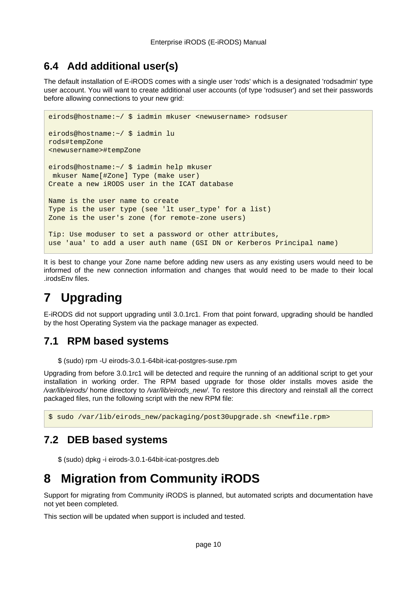## <span id="page-9-0"></span>**6.4 Add additional user(s)**

The default installation of E-iRODS comes with a single user 'rods' which is a designated 'rodsadmin' type user account. You will want to create additional user accounts (of type 'rodsuser') and set their passwords before allowing connections to your new grid:

```
eirods@hostname:~/ $ iadmin mkuser <newusername> rodsuser
eirods@hostname:~/ $ iadmin lu
rods#tempZone
<newusername>#tempZone
eirods@hostname:~/ $ iadmin help mkuser
 mkuser Name[#Zone] Type (make user)
Create a new iRODS user in the ICAT database
Name is the user name to create
Type is the user type (see 'lt user_type' for a list)
Zone is the user's zone (for remote-zone users)
Tip: Use moduser to set a password or other attributes,
use 'aua' to add a user auth name (GSI DN or Kerberos Principal name)
```
It is best to change your Zone name before adding new users as any existing users would need to be informed of the new connection information and changes that would need to be made to their local .irodsEnv files.

# <span id="page-9-1"></span>**7 Upgrading**

E-iRODS did not support upgrading until 3.0.1rc1. From that point forward, upgrading should be handled by the host Operating System via the package manager as expected.

## <span id="page-9-2"></span>**7.1 RPM based systems**

\$ (sudo) rpm -U eirods-3.0.1-64bit-icat-postgres-suse.rpm

Upgrading from before 3.0.1rc1 will be detected and require the running of an additional script to get your installation in working order. The RPM based upgrade for those older installs moves aside the /var/lib/eirods/ home directory to /var/lib/eirods new/. To restore this directory and reinstall all the correct packaged files, run the following script with the new RPM file:

\$ sudo /var/lib/eirods\_new/packaging/post30upgrade.sh <newfile.rpm>

## <span id="page-9-3"></span>**7.2 DEB based systems**

\$ (sudo) dpkg -i eirods-3.0.1-64bit-icat-postgres.deb

# <span id="page-9-4"></span>**8 Migration from Community iRODS**

Support for migrating from Community iRODS is planned, but automated scripts and documentation have not yet been completed.

This section will be updated when support is included and tested.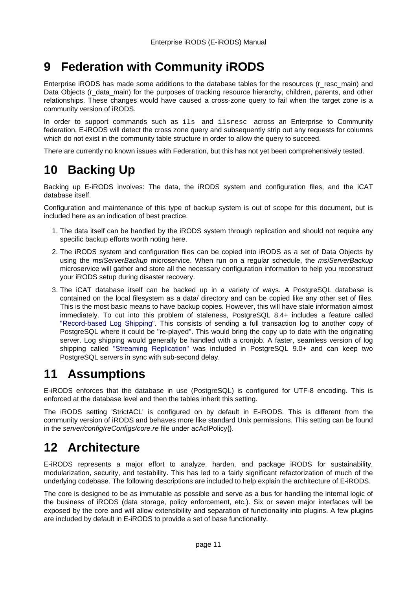# <span id="page-10-0"></span>**9 Federation with Community iRODS**

Enterprise iRODS has made some additions to the database tables for the resources (r\_resc\_main) and Data Objects (r\_data\_main) for the purposes of tracking resource hierarchy, children, parents, and other relationships. These changes would have caused a cross-zone query to fail when the target zone is a community version of iRODS.

In order to support commands such as ils and ilsresc across an Enterprise to Community federation, E-iRODS will detect the cross zone query and subsequently strip out any requests for columns which do not exist in the community table structure in order to allow the query to succeed.

There are currently no known issues with Federation, but this has not yet been comprehensively tested.

# <span id="page-10-1"></span>**10 Backing Up**

Backing up E-iRODS involves: The data, the iRODS system and configuration files, and the iCAT database itself.

Configuration and maintenance of this type of backup system is out of scope for this document, but is included here as an indication of best practice.

- 1. The data itself can be handled by the iRODS system through replication and should not require any specific backup efforts worth noting here.
- 2. The iRODS system and configuration files can be copied into iRODS as a set of Data Objects by using the msiServerBackup microservice. When run on a regular schedule, the msiServerBackup microservice will gather and store all the necessary configuration information to help you reconstruct your iRODS setup during disaster recovery.
- 3. The iCAT database itself can be backed up in a variety of ways. A PostgreSQL database is contained on the local filesystem as a data/ directory and can be copied like any other set of files. This is the most basic means to have backup copies. However, this will have stale information almost immediately. To cut into this problem of staleness, PostgreSQL 8.4+ includes a feature called ["Record-based Log Shipping".](http://www.postgresql.org/docs/8.4/static/warm-standby.html#WARM-STANDBY-RECORD) This consists of sending a full transaction log to another copy of PostgreSQL where it could be "re-played". This would bring the copy up to date with the originating server. Log shipping would generally be handled with a cronjob. A faster, seamless version of log shipping called ["Streaming Replication" w](http://www.postgresql.org/docs/9.0/static/warm-standby.html#STREAMING-REPLICATION)as included in PostgreSQL 9.0+ and can keep two PostgreSQL servers in sync with sub-second delay.

# <span id="page-10-2"></span>**11 Assumptions**

E-iRODS enforces that the database in use (PostgreSQL) is configured for UTF-8 encoding. This is enforced at the database level and then the tables inherit this setting.

The iRODS setting 'StrictACL' is configured on by default in E-iRODS. This is different from the community version of iRODS and behaves more like standard Unix permissions. This setting can be found in the server/config/reConfigs/core.re file under acAclPolicy{}.

# <span id="page-10-3"></span>**12 Architecture**

E-iRODS represents a major effort to analyze, harden, and package iRODS for sustainability, modularization, security, and testability. This has led to a fairly significant refactorization of much of the underlying codebase. The following descriptions are included to help explain the architecture of E-iRODS.

The core is designed to be as immutable as possible and serve as a bus for handling the internal logic of the business of iRODS (data storage, policy enforcement, etc.). Six or seven major interfaces will be exposed by the core and will allow extensibility and separation of functionality into plugins. A few plugins are included by default in E-iRODS to provide a set of base functionality.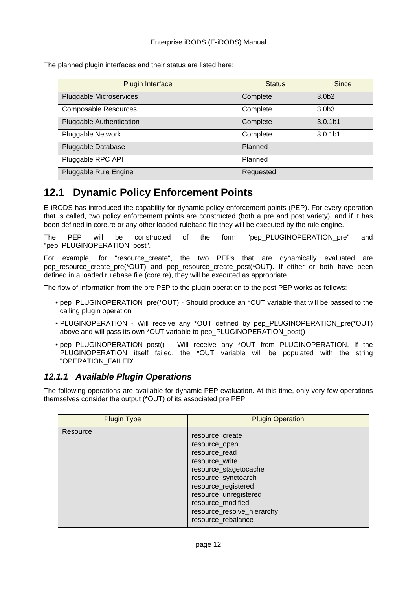The planned plugin interfaces and their status are listed here:

| <b>Plugin Interface</b>     | <b>Status</b> | <b>Since</b>        |
|-----------------------------|---------------|---------------------|
| Pluggable Microservices     | Complete      | 3.0 <sub>b2</sub>   |
| <b>Composable Resources</b> | Complete      | 3.0 <sub>b3</sub>   |
| Pluggable Authentication    | Complete      | 3.0.1 <sub>b1</sub> |
| Pluggable Network           | Complete      | 3.0.1 <sub>b1</sub> |
| Pluggable Database          | Planned       |                     |
| Pluggable RPC API           | Planned       |                     |
| Pluggable Rule Engine       | Requested     |                     |

## <span id="page-11-0"></span>**12.1 Dynamic Policy Enforcement Points**

E-iRODS has introduced the capability for dynamic policy enforcement points (PEP). For every operation that is called, two policy enforcement points are constructed (both a pre and post variety), and if it has been defined in core.re or any other loaded rulebase file they will be executed by the rule engine.

The PEP will be constructed of the form "pep\_PLUGINOPERATION\_pre" and "pep\_PLUGINOPERATION\_post".

For example, for "resource-create", the two PEPs that are dynamically evaluated are pep\_resource\_create\_pre(\*OUT) and pep\_resource\_create\_post(\*OUT). If either or both have been defined in a loaded rulebase file (core.re), they will be executed as appropriate.

The flow of information from the pre PEP to the plugin operation to the post PEP works as follows:

- pep\_PLUGINOPERATION\_pre(\*OUT) Should produce an \*OUT variable that will be passed to the calling plugin operation
- PLUGINOPERATION Will receive any \*OUT defined by pep\_PLUGINOPERATION\_pre(\*OUT) above and will pass its own \*OUT variable to pep\_PLUGINOPERATION\_post()
- pep\_PLUGINOPERATION\_post() Will receive any \*OUT from PLUGINOPERATION. If the PLUGINOPERATION itself failed, the \*OUT variable will be populated with the string "OPERATION\_FAILED".

### <span id="page-11-1"></span>**12.1.1 Available Plugin Operations**

The following operations are available for dynamic PEP evaluation. At this time, only very few operations themselves consider the output (\*OUT) of its associated pre PEP.

| <b>Plugin Type</b> | <b>Plugin Operation</b>                                                                                                                                                                                                                      |
|--------------------|----------------------------------------------------------------------------------------------------------------------------------------------------------------------------------------------------------------------------------------------|
| Resource           | resource create<br>resource open<br>resource_read<br>resource_write<br>resource_stagetocache<br>resource_synctoarch<br>resource_registered<br>resource_unregistered<br>resource_modified<br>resource_resolve_hierarchy<br>resource_rebalance |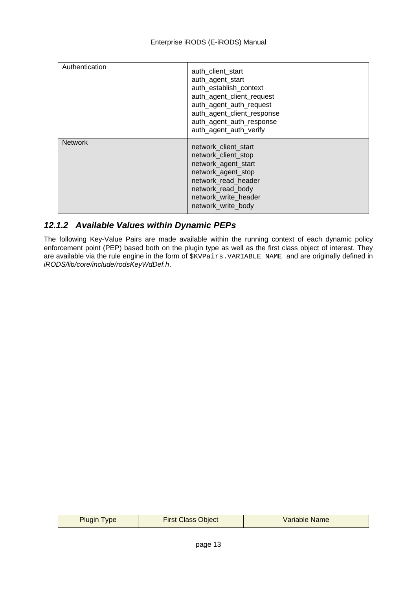| Authentication | auth_client_start<br>auth_agent_start<br>auth establish context<br>auth_agent_client_request<br>auth_agent_auth_request<br>auth_agent_client_response<br>auth_agent_auth_response<br>auth_agent_auth_verify |
|----------------|-------------------------------------------------------------------------------------------------------------------------------------------------------------------------------------------------------------|
| <b>Network</b> | network_client_start<br>network_client_stop<br>network agent start<br>network_agent_stop<br>network read header<br>network_read_body<br>network write header<br>network_write_body                          |

## <span id="page-12-0"></span>**12.1.2 Available Values within Dynamic PEPs**

The following Key-Value Pairs are made available within the running context of each dynamic policy enforcement point (PEP) based both on the plugin type as well as the first class object of interest. They are available via the rule engine in the form of \$KVPairs.VARIABLE\_NAME and are originally defined in iRODS/lib/core/include/rodsKeyWdDef.h.

| Plugin Type | <b>First Class Object</b> | Variable Name |
|-------------|---------------------------|---------------|
|             |                           |               |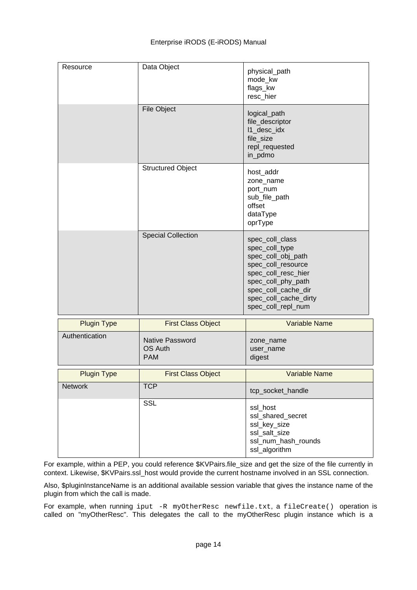| Resource | Data Object               | physical_path<br>mode_kw<br>flags_kw<br>resc_hier                                                                                                                                                |
|----------|---------------------------|--------------------------------------------------------------------------------------------------------------------------------------------------------------------------------------------------|
|          | File Object               | logical_path<br>file_descriptor<br>I1_desc_idx<br>file size<br>repl_requested<br>in_pdmo                                                                                                         |
|          | <b>Structured Object</b>  | host addr<br>zone_name<br>port_num<br>sub_file_path<br>offset<br>dataType<br>oprType                                                                                                             |
|          | <b>Special Collection</b> | spec_coll_class<br>spec_coll_type<br>spec_coll_obj_path<br>spec_coll_resource<br>spec_coll_resc_hier<br>spec_coll_phy_path<br>spec_coll_cache_dir<br>spec_coll_cache_dirty<br>spec_coll_repl_num |

| <b>Plugin Type</b> | <b>First Class Object</b>                       | Variable Name                    |
|--------------------|-------------------------------------------------|----------------------------------|
| Authentication     | <b>Native Password</b><br>OS Auth<br><b>PAM</b> | zone name<br>user name<br>digest |

| <b>Plugin Type</b> | <b>First Class Object</b> | Variable Name                                                                                          |
|--------------------|---------------------------|--------------------------------------------------------------------------------------------------------|
| <b>Network</b>     | <b>TCP</b>                | tcp_socket_handle                                                                                      |
|                    | SSL                       | ssl_host<br>ssl_shared_secret<br>ssl_key_size<br>ssl_salt_size<br>ssl_num_hash_rounds<br>ssl_algorithm |

For example, within a PEP, you could reference \$KVPairs.file size and get the size of the file currently in context. Likewise, \$KVPairs.ssl\_host would provide the current hostname involved in an SSL connection.

Also, \$pluginInstanceName is an additional available session variable that gives the instance name of the plugin from which the call is made.

For example, when running iput -R myOtherResc newfile.txt, a fileCreate() operation is called on "myOtherResc". This delegates the call to the myOtherResc plugin instance which is a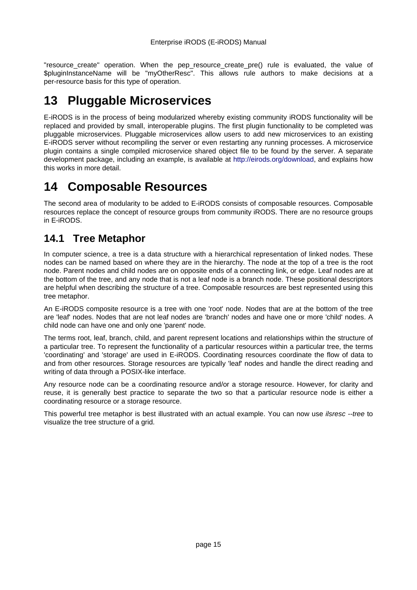"resource create" operation. When the pep resource create pre() rule is evaluated, the value of \$pluginInstanceName will be "myOtherResc". This allows rule authors to make decisions at a per-resource basis for this type of operation.

# <span id="page-14-0"></span>**13 Pluggable Microservices**

E-iRODS is in the process of being modularized whereby existing community iRODS functionality will be replaced and provided by small, interoperable plugins. The first plugin functionality to be completed was pluggable microservices. Pluggable microservices allow users to add new microservices to an existing E-iRODS server without recompiling the server or even restarting any running processes. A microservice plugin contains a single compiled microservice shared object file to be found by the server. A separate development package, including an example, is available at <http://eirods.org/download>, and explains how this works in more detail.

## <span id="page-14-1"></span>**14 Composable Resources**

The second area of modularity to be added to E-iRODS consists of composable resources. Composable resources replace the concept of resource groups from community iRODS. There are no resource groups in E-iRODS.

## <span id="page-14-2"></span>**14.1 Tree Metaphor**

In computer science, a tree is a data structure with a hierarchical representation of linked nodes. These nodes can be named based on where they are in the hierarchy. The node at the top of a tree is the root node. Parent nodes and child nodes are on opposite ends of a connecting link, or edge. Leaf nodes are at the bottom of the tree, and any node that is not a leaf node is a branch node. These positional descriptors are helpful when describing the structure of a tree. Composable resources are best represented using this tree metaphor.

An E-iRODS composite resource is a tree with one 'root' node. Nodes that are at the bottom of the tree are 'leaf' nodes. Nodes that are not leaf nodes are 'branch' nodes and have one or more 'child' nodes. A child node can have one and only one 'parent' node.

The terms root, leaf, branch, child, and parent represent locations and relationships within the structure of a particular tree. To represent the functionality of a particular resources within a particular tree, the terms 'coordinating' and 'storage' are used in E-iRODS. Coordinating resources coordinate the flow of data to and from other resources. Storage resources are typically 'leaf' nodes and handle the direct reading and writing of data through a POSIX-like interface.

Any resource node can be a coordinating resource and/or a storage resource. However, for clarity and reuse, it is generally best practice to separate the two so that a particular resource node is either a coordinating resource or a storage resource.

This powerful tree metaphor is best illustrated with an actual example. You can now use *ilsresc* --tree to visualize the tree structure of a grid.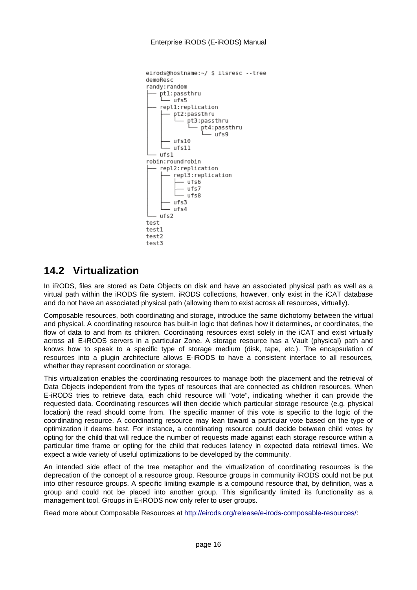#### Enterprise iRODS (E-iRODS) Manual

```
eirods@hostname:~/ $ ilsresc --tree
demoResc
randy: random
    ptl:passthru
       - ufs5
    repl1: replication
        pt2:passthru
           - pt3:passthru
               - pt4:passthru
                   — ufs9
        ufs10
       - ufsll
    ^{\text{ufs1}}robin: roundrobin
    repl2: replication
        repl3:replication
           - ufs6
           - ufs7
           - ufs8
        ufs3
       - ufs4
   ufs2
test
test1
test2
test3
```
## <span id="page-15-0"></span>**14.2 Virtualization**

In iRODS, files are stored as Data Objects on disk and have an associated physical path as well as a virtual path within the iRODS file system. iRODS collections, however, only exist in the iCAT database and do not have an associated physical path (allowing them to exist across all resources, virtually).

Composable resources, both coordinating and storage, introduce the same dichotomy between the virtual and physical. A coordinating resource has built-in logic that defines how it determines, or coordinates, the flow of data to and from its children. Coordinating resources exist solely in the iCAT and exist virtually across all E-iRODS servers in a particular Zone. A storage resource has a Vault (physical) path and knows how to speak to a specific type of storage medium (disk, tape, etc.). The encapsulation of resources into a plugin architecture allows E-iRODS to have a consistent interface to all resources, whether they represent coordination or storage.

This virtualization enables the coordinating resources to manage both the placement and the retrieval of Data Objects independent from the types of resources that are connected as children resources. When E-iRODS tries to retrieve data, each child resource will "vote", indicating whether it can provide the requested data. Coordinating resources will then decide which particular storage resource (e.g. physical location) the read should come from. The specific manner of this vote is specific to the logic of the coordinating resource. A coordinating resource may lean toward a particular vote based on the type of optimization it deems best. For instance, a coordinating resource could decide between child votes by opting for the child that will reduce the number of requests made against each storage resource within a particular time frame or opting for the child that reduces latency in expected data retrieval times. We expect a wide variety of useful optimizations to be developed by the community.

An intended side effect of the tree metaphor and the virtualization of coordinating resources is the deprecation of the concept of a resource group. Resource groups in community iRODS could not be put into other resource groups. A specific limiting example is a compound resource that, by definition, was a group and could not be placed into another group. This significantly limited its functionality as a management tool. Groups in E-iRODS now only refer to user groups.

Read more about Composable Resources at [http://eirods.org/release/e-irods-composable-resources/:](http://eirods.org/release/e-irods-composable-resources/)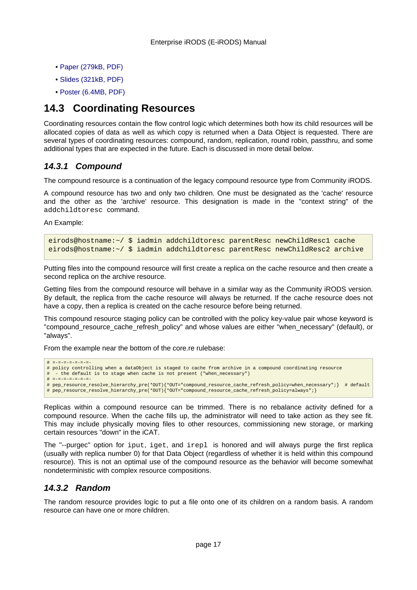- [Paper \(279kB, PDF\)](http://eirods.org/dev/wp-content/uploads/2013/02/eirods-composable-resources.pdf)
- [Slides \(321kB, PDF\)](http://eirods.org/dev/wp-content/uploads/2013/02/eirods-cr-slides.pdf)
- [Poster \(6.4MB, PDF\)](http://eirods.org/dev/wp-content/uploads/2013/02/eirods-composable-resources-poster.pdf)

## <span id="page-16-0"></span>**14.3 Coordinating Resources**

Coordinating resources contain the flow control logic which determines both how its child resources will be allocated copies of data as well as which copy is returned when a Data Object is requested. There are several types of coordinating resources: compound, random, replication, round robin, passthru, and some additional types that are expected in the future. Each is discussed in more detail below.

### <span id="page-16-1"></span>**14.3.1 Compound**

The compound resource is a continuation of the legacy compound resource type from Community iRODS.

A compound resource has two and only two children. One must be designated as the 'cache' resource and the other as the 'archive' resource. This designation is made in the "context string" of the addchildtoresc command.

An Example:

```
eirods@hostname:~/ $ iadmin addchildtoresc parentResc newChildResc1 cache
eirods@hostname:~/ $ iadmin addchildtoresc parentResc newChildResc2 archive
```
Putting files into the compound resource will first create a replica on the cache resource and then create a second replica on the archive resource.

Getting files from the compound resource will behave in a similar way as the Community iRODS version. By default, the replica from the cache resource will always be returned. If the cache resource does not have a copy, then a replica is created on the cache resource before being returned.

This compound resource staging policy can be controlled with the policy key-value pair whose keyword is "compound resource cache refresh policy" and whose values are either "when necessary" (default), or "always".

From the example near the bottom of the core.re rulebase:

```
# =-=-=-=-=-=-=-
# policy controlling when a dataObject is staged to cache from archive in a compound coordinating resource
   - the default is to stage when cache is not present ("when_necessary")
# =-=-=-=-=-=-=-
# pep_resource_resolve_hierarchy_pre(*OUT){*OUT="compound_resource_cache_refresh_policy=when_necessary";} # default
# pep_resource_resolve_hierarchy_pre(*OUT){*OUT="compound_resource_cache_refresh_policy=always";}
```
Replicas within a compound resource can be trimmed. There is no rebalance activity defined for a compound resource. When the cache fills up, the administrator will need to take action as they see fit. This may include physically moving files to other resources, commissioning new storage, or marking certain resources "down" in the iCAT.

The "--purgec" option for iput, iget, and irepl is honored and will always purge the first replica (usually with replica number 0) for that Data Object (regardless of whether it is held within this compound resource). This is not an optimal use of the compound resource as the behavior will become somewhat nondeterministic with complex resource compositions.

### <span id="page-16-2"></span>**14.3.2 Random**

The random resource provides logic to put a file onto one of its children on a random basis. A random resource can have one or more children.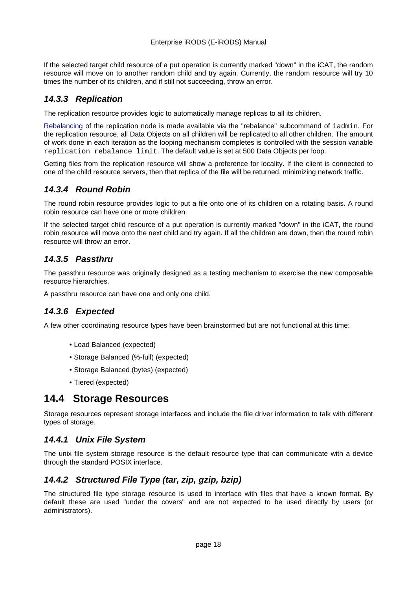If the selected target child resource of a put operation is currently marked "down" in the iCAT, the random resource will move on to another random child and try again. Currently, the random resource will try 10 times the number of its children, and if still not succeeding, throw an error.

### <span id="page-17-0"></span>**14.3.3 Replication**

The replication resource provides logic to automatically manage replicas to all its children.

[Rebalancing](#page-19-4) of the replication node is made available via the "rebalance" subcommand of iadmin. For the replication resource, all Data Objects on all children will be replicated to all other children. The amount of work done in each iteration as the looping mechanism completes is controlled with the session variable replication rebalance limit. The default value is set at 500 Data Objects per loop.

Getting files from the replication resource will show a preference for locality. If the client is connected to one of the child resource servers, then that replica of the file will be returned, minimizing network traffic.

## <span id="page-17-1"></span>**14.3.4 Round Robin**

The round robin resource provides logic to put a file onto one of its children on a rotating basis. A round robin resource can have one or more children.

If the selected target child resource of a put operation is currently marked "down" in the iCAT, the round robin resource will move onto the next child and try again. If all the children are down, then the round robin resource will throw an error.

### <span id="page-17-2"></span>**14.3.5 Passthru**

The passthru resource was originally designed as a testing mechanism to exercise the new composable resource hierarchies.

A passthru resource can have one and only one child.

## <span id="page-17-3"></span>**14.3.6 Expected**

A few other coordinating resource types have been brainstormed but are not functional at this time:

- Load Balanced (expected)
- Storage Balanced (%-full) (expected)
- Storage Balanced (bytes) (expected)
- Tiered (expected)

## <span id="page-17-4"></span>**14.4 Storage Resources**

Storage resources represent storage interfaces and include the file driver information to talk with different types of storage.

### <span id="page-17-5"></span>**14.4.1 Unix File System**

The unix file system storage resource is the default resource type that can communicate with a device through the standard POSIX interface.

### <span id="page-17-6"></span>**14.4.2 Structured File Type (tar, zip, gzip, bzip)**

The structured file type storage resource is used to interface with files that have a known format. By default these are used "under the covers" and are not expected to be used directly by users (or administrators).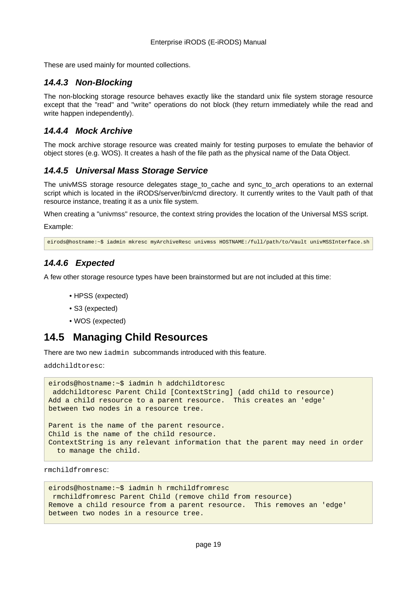These are used mainly for mounted collections.

### <span id="page-18-0"></span>**14.4.3 Non-Blocking**

The non-blocking storage resource behaves exactly like the standard unix file system storage resource except that the "read" and "write" operations do not block (they return immediately while the read and write happen independently).

### <span id="page-18-1"></span>**14.4.4 Mock Archive**

The mock archive storage resource was created mainly for testing purposes to emulate the behavior of object stores (e.g. WOS). It creates a hash of the file path as the physical name of the Data Object.

### <span id="page-18-2"></span>**14.4.5 Universal Mass Storage Service**

The univMSS storage resource delegates stage to cache and sync to arch operations to an external script which is located in the iRODS/server/bin/cmd directory. It currently writes to the Vault path of that resource instance, treating it as a unix file system.

When creating a "univmss" resource, the context string provides the location of the Universal MSS script.

Example:

eirods@hostname:~\$ iadmin mkresc myArchiveResc univmss HOSTNAME:/full/path/to/Vault univMSSInterface.sh

## <span id="page-18-3"></span>**14.4.6 Expected**

A few other storage resource types have been brainstormed but are not included at this time:

- HPSS (expected)
- S3 (expected)
- WOS (expected)

## <span id="page-18-4"></span>**14.5 Managing Child Resources**

There are two new iadmin subcommands introduced with this feature.

addchildtoresc:

```
eirods@hostname:~$ iadmin h addchildtoresc
  addchildtoresc Parent Child [ContextString] (add child to resource)
Add a child resource to a parent resource. This creates an 'edge'
between two nodes in a resource tree.
Parent is the name of the parent resource.
Child is the name of the child resource.
ContextString is any relevant information that the parent may need in order
   to manage the child.
```
rmchildfromresc:

```
eirods@hostname:~$ iadmin h rmchildfromresc
 rmchildfromresc Parent Child (remove child from resource)
Remove a child resource from a parent resource. This removes an 'edge'
between two nodes in a resource tree.
```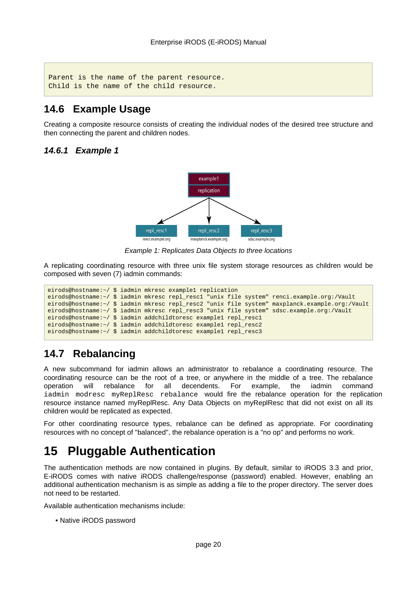Parent is the name of the parent resource. Child is the name of the child resource.

## <span id="page-19-0"></span>**14.6 Example Usage**

Creating a composite resource consists of creating the individual nodes of the desired tree structure and then connecting the parent and children nodes.

### <span id="page-19-1"></span>**14.6.1 Example 1**



Example 1: Replicates Data Objects to three locations

A replicating coordinating resource with three unix file system storage resources as children would be composed with seven (7) iadmin commands:

```
eirods@hostname:~/ $ iadmin mkresc example1 replication
eirods@hostname:~/ $ iadmin mkresc repl_resc1 "unix file system" renci.example.org:/Vault
eirods@hostname:~/ $ iadmin mkresc repl_resc2 "unix file system" maxplanck.example.org:/Vault
eirods@hostname:~/ $ iadmin mkresc repl_resc3 "unix file system" sdsc.example.org:/Vault
eirods@hostname:~/ $ iadmin addchildtoresc example1 repl_resc1
eirods@hostname:~/ $ iadmin addchildtoresc example1 repl_resc2
eirods@hostname:~/ $ iadmin addchildtoresc example1 repl_resc3
```
## <span id="page-19-4"></span><span id="page-19-2"></span>**14.7 Rebalancing**

A new subcommand for iadmin allows an administrator to rebalance a coordinating resource. The coordinating resource can be the root of a tree, or anywhere in the middle of a tree. The rebalance operation will rebalance for all decendents. For example, the iadmin command iadmin modresc myReplResc rebalance would fire the rebalance operation for the replication resource instance named myReplResc. Any Data Objects on myReplResc that did not exist on all its children would be replicated as expected.

For other coordinating resource types, rebalance can be defined as appropriate. For coordinating resources with no concept of "balanced", the rebalance operation is a "no op" and performs no work.

# <span id="page-19-3"></span>**15 Pluggable Authentication**

The authentication methods are now contained in plugins. By default, similar to iRODS 3.3 and prior, E-iRODS comes with native iRODS challenge/response (password) enabled. However, enabling an additional authentication mechanism is as simple as adding a file to the proper directory. The server does not need to be restarted.

Available authentication mechanisms include:

• Native iRODS password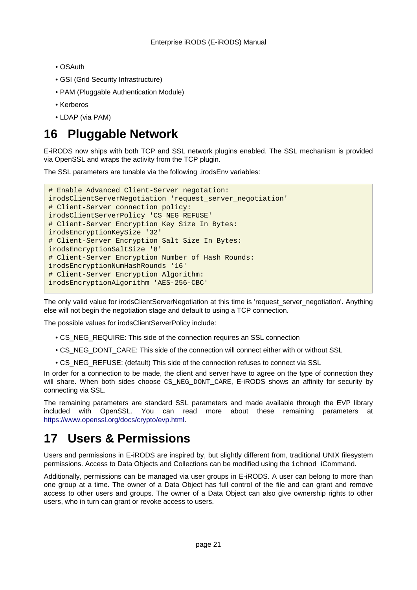- OSAuth
- GSI (Grid Security Infrastructure)
- PAM (Pluggable Authentication Module)
- Kerberos
- LDAP (via PAM)

# <span id="page-20-0"></span>**16 Pluggable Network**

E-iRODS now ships with both TCP and SSL network plugins enabled. The SSL mechanism is provided via OpenSSL and wraps the activity from the TCP plugin.

The SSL parameters are tunable via the following .irodsEnv variables:

```
# Enable Advanced Client-Server negotation:
irodsClientServerNegotiation 'request_server_negotiation'
# Client-Server connection policy:
irodsClientServerPolicy 'CS_NEG_REFUSE'
# Client-Server Encryption Key Size In Bytes:
irodsEncryptionKeySize '32'
# Client-Server Encryption Salt Size In Bytes:
irodsEncryptionSaltSize '8'
# Client-Server Encryption Number of Hash Rounds:
irodsEncryptionNumHashRounds '16'
# Client-Server Encryption Algorithm:
irodsEncryptionAlgorithm 'AES-256-CBC'
```
The only valid value for irodsClientServerNegotiation at this time is 'request\_server\_negotiation'. Anything else will not begin the negotiation stage and default to using a TCP connection.

The possible values for irodsClientServerPolicy include:

- CS\_NEG\_REQUIRE: This side of the connection requires an SSL connection
- CS\_NEG\_DONT\_CARE: This side of the connection will connect either with or without SSL
- CS\_NEG\_REFUSE: (default) This side of the connection refuses to connect via SSL

In order for a connection to be made, the client and server have to agree on the type of connection they will share. When both sides choose CS\_NEG\_DONT\_CARE, E-iRODS shows an affinity for security by connecting via SSL.

The remaining parameters are standard SSL parameters and made available through the EVP library included with OpenSSL. You can read more about these remaining parameters at <https://www.openssl.org/docs/crypto/evp.html>.

# <span id="page-20-1"></span>**17 Users & Permissions**

Users and permissions in E-iRODS are inspired by, but slightly different from, traditional UNIX filesystem permissions. Access to Data Objects and Collections can be modified using the ichmod iCommand.

Additionally, permissions can be managed via user groups in E-iRODS. A user can belong to more than one group at a time. The owner of a Data Object has full control of the file and can grant and remove access to other users and groups. The owner of a Data Object can also give ownership rights to other users, who in turn can grant or revoke access to users.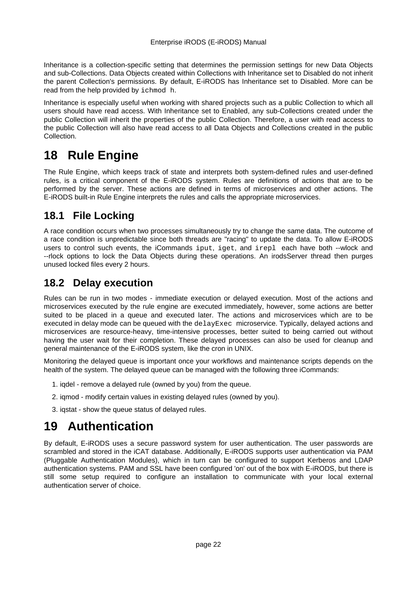Inheritance is a collection-specific setting that determines the permission settings for new Data Objects and sub-Collections. Data Objects created within Collections with Inheritance set to Disabled do not inherit the parent Collection's permissions. By default, E-iRODS has Inheritance set to Disabled. More can be read from the help provided by ichmod h.

Inheritance is especially useful when working with shared projects such as a public Collection to which all users should have read access. With Inheritance set to Enabled, any sub-Collections created under the public Collection will inherit the properties of the public Collection. Therefore, a user with read access to the public Collection will also have read access to all Data Objects and Collections created in the public Collection.

# <span id="page-21-0"></span>**18 Rule Engine**

The Rule Engine, which keeps track of state and interprets both system-defined rules and user-defined rules, is a critical component of the E-iRODS system. Rules are definitions of actions that are to be performed by the server. These actions are defined in terms of microservices and other actions. The E-iRODS built-in Rule Engine interprets the rules and calls the appropriate microservices.

## <span id="page-21-1"></span>**18.1 File Locking**

A race condition occurs when two processes simultaneously try to change the same data. The outcome of a race condition is unpredictable since both threads are "racing" to update the data. To allow E-iRODS users to control such events, the iCommands iput, iget, and irepl each have both --wlock and --rlock options to lock the Data Objects during these operations. An irodsServer thread then purges unused locked files every 2 hours.

## <span id="page-21-2"></span>**18.2 Delay execution**

Rules can be run in two modes - immediate execution or delayed execution. Most of the actions and microservices executed by the rule engine are executed immediately, however, some actions are better suited to be placed in a queue and executed later. The actions and microservices which are to be executed in delay mode can be queued with the delayExec microservice. Typically, delayed actions and microservices are resource-heavy, time-intensive processes, better suited to being carried out without having the user wait for their completion. These delayed processes can also be used for cleanup and general maintenance of the E-iRODS system, like the cron in UNIX.

Monitoring the delayed queue is important once your workflows and maintenance scripts depends on the health of the system. The delayed queue can be managed with the following three iCommands:

- 1. iqdel remove a delayed rule (owned by you) from the queue.
- 2. igmod modify certain values in existing delayed rules (owned by you).
- 3. iqstat show the queue status of delayed rules.

# <span id="page-21-3"></span>**19 Authentication**

By default, E-iRODS uses a secure password system for user authentication. The user passwords are scrambled and stored in the iCAT database. Additionally, E-iRODS supports user authentication via PAM (Pluggable Authentication Modules), which in turn can be configured to support Kerberos and LDAP authentication systems. PAM and SSL have been configured 'on' out of the box with E-iRODS, but there is still some setup required to configure an installation to communicate with your local external authentication server of choice.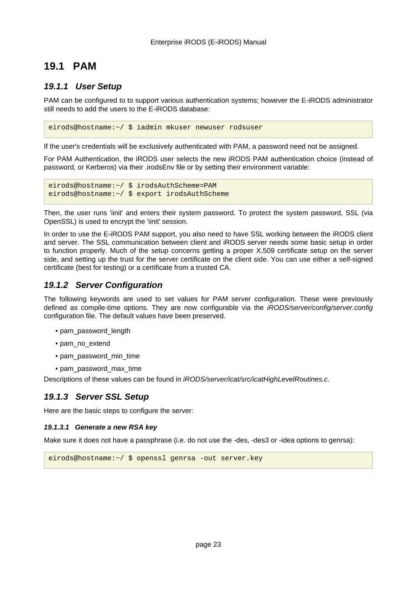## <span id="page-22-0"></span>**19.1 PAM**

### <span id="page-22-1"></span>**19.1.1 User Setup**

PAM can be configured to to support various authentication systems; however the E-iRODS administrator still needs to add the users to the E-iRODS database:

eirods@hostname:~/ \$ iadmin mkuser newuser rodsuser

If the user's credentials will be exclusively authenticated with PAM, a password need not be assigned.

For PAM Authentication, the iRODS user selects the new iRODS PAM authentication choice (instead of password, or Kerberos) via their .irodsEnv file or by setting their environment variable:

```
eirods@hostname:~/ $ irodsAuthScheme=PAM
eirods@hostname:~/ $ export irodsAuthScheme
```
Then, the user runs 'iinit' and enters their system password. To protect the system password, SSL (via OpenSSL) is used to encrypt the 'iinit' session.

In order to use the E-iRODS PAM support, you also need to have SSL working between the iRODS client and server. The SSL communication between client and iRODS server needs some basic setup in order to function properly. Much of the setup concerns getting a proper X.509 certificate setup on the server side, and setting up the trust for the server certificate on the client side. You can use either a self-signed certificate (best for testing) or a certificate from a trusted CA.

### <span id="page-22-2"></span>**19.1.2 Server Configuration**

The following keywords are used to set values for PAM server configuration. These were previously defined as compile-time options. They are now configurable via the *iRODS/server/config/server.config* configuration file. The default values have been preserved.

- pam\_password\_length
- pam\_no\_extend
- pam\_password\_min\_time
- pam\_password\_max\_time

Descriptions of these values can be found in iRODS/server/icat/src/icatHighLevelRoutines.c.

### <span id="page-22-3"></span>**19.1.3 Server SSL Setup**

Here are the basic steps to configure the server:

#### <span id="page-22-4"></span>**19.1.3.1 Generate a new RSA key**

Make sure it does not have a passphrase (i.e. do not use the -des, -des3 or -idea options to genrsa):

eirods@hostname:~/ \$ openssl genrsa -out server.key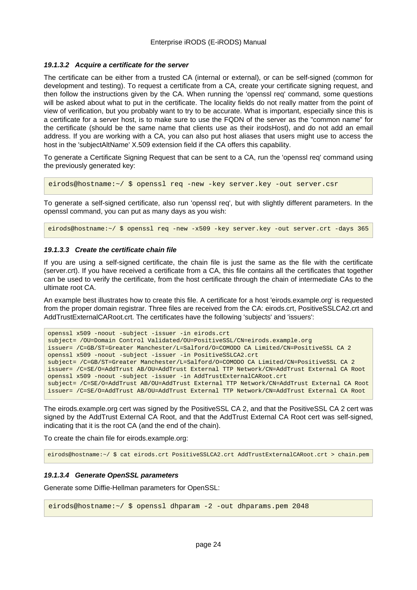#### <span id="page-23-0"></span>**19.1.3.2 Acquire a certificate for the server**

The certificate can be either from a trusted CA (internal or external), or can be self-signed (common for development and testing). To request a certificate from a CA, create your certificate signing request, and then follow the instructions given by the CA. When running the 'openssl req' command, some questions will be asked about what to put in the certificate. The locality fields do not really matter from the point of view of verification, but you probably want to try to be accurate. What is important, especially since this is a certificate for a server host, is to make sure to use the FQDN of the server as the "common name" for the certificate (should be the same name that clients use as their irodsHost), and do not add an email address. If you are working with a CA, you can also put host aliases that users might use to access the host in the 'subjectAltName' X.509 extension field if the CA offers this capability.

To generate a Certificate Signing Request that can be sent to a CA, run the 'openssl req' command using the previously generated key:

eirods@hostname:~/ \$ openssl req -new -key server.key -out server.csr

To generate a self-signed certificate, also run 'openssl req', but with slightly different parameters. In the openssl command, you can put as many days as you wish:

eirods@hostname:~/ \$ openssl req -new -x509 -key server.key -out server.crt -days 365

#### <span id="page-23-1"></span>**19.1.3.3 Create the certificate chain file**

If you are using a self-signed certificate, the chain file is just the same as the file with the certificate (server.crt). If you have received a certificate from a CA, this file contains all the certificates that together can be used to verify the certificate, from the host certificate through the chain of intermediate CAs to the ultimate root CA.

An example best illustrates how to create this file. A certificate for a host 'eirods.example.org' is requested from the proper domain registrar. Three files are received from the CA: eirods.crt, PositiveSSLCA2.crt and AddTrustExternalCARoot.crt. The certificates have the following 'subjects' and 'issuers':

```
openssl x509 -noout -subject -issuer -in eirods.crt
subject= /OU=Domain Control Validated/OU=PositiveSSL/CN=eirods.example.org
issuer= /C=GB/ST=Greater Manchester/L=Salford/O=COMODO CA Limited/CN=PositiveSSL CA 2
openssl x509 -noout -subject -issuer -in PositiveSSLCA2.crt
subject= /C=GB/ST=Greater Manchester/L=Salford/O=COMODO CA Limited/CN=PositiveSSL CA 2
issuer= /C=SE/O=AddTrust AB/OU=AddTrust External TTP Network/CN=AddTrust External CA Root
openssl x509 -noout -subject -issuer -in AddTrustExternalCARoot.crt
subject= /C=SE/O=AddTrust AB/OU=AddTrust External TTP Network/CN=AddTrust External CA Root
issuer= /C=SE/O=AddTrust AB/OU=AddTrust External TTP Network/CN=AddTrust External CA Root
```
The eirods.example.org cert was signed by the PositiveSSL CA 2, and that the PositiveSSL CA 2 cert was signed by the AddTrust External CA Root, and that the AddTrust External CA Root cert was self-signed, indicating that it is the root CA (and the end of the chain).

To create the chain file for eirods.example.org:

eirods@hostname:~/ \$ cat eirods.crt PositiveSSLCA2.crt AddTrustExternalCARoot.crt > chain.pem

#### <span id="page-23-2"></span>**19.1.3.4 Generate OpenSSL parameters**

Generate some Diffie-Hellman parameters for OpenSSL:

eirods@hostname:~/ \$ openssl dhparam -2 -out dhparams.pem 2048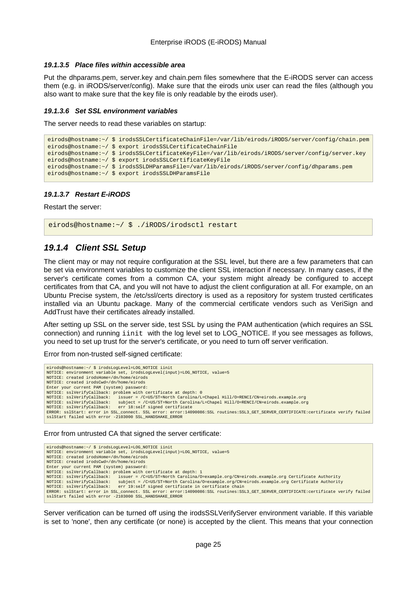#### <span id="page-24-0"></span>**19.1.3.5 Place files within accessible area**

Put the dhparams.pem, server.key and chain.pem files somewhere that the E-iRODS server can access them (e.g. in iRODS/server/config). Make sure that the eirods unix user can read the files (although you also want to make sure that the key file is only readable by the eirods user).

#### <span id="page-24-1"></span>**19.1.3.6 Set SSL environment variables**

The server needs to read these variables on startup:

```
eirods@hostname:~/ $ irodsSSLCertificateChainFile=/var/lib/eirods/iRODS/server/config/chain.pem
eirods@hostname:~/ $ export irodsSSLCertificateChainFile
eirods@hostname:~/ $ irodsSSLCertificateKeyFile=/var/lib/eirods/iRODS/server/config/server.key
eirods@hostname:~/ $ export irodsSSLCertificateKeyFile
eirods@hostname:~/ $ irodsSSLDHParamsFile=/var/lib/eirods/iRODS/server/config/dhparams.pem
eirods@hostname:~/ $ export irodsSSLDHParamsFile
```
#### <span id="page-24-2"></span>**19.1.3.7 Restart E-iRODS**

Restart the server:

```
eirods@hostname:~/ $ ./iRODS/irodsctl restart
```
#### <span id="page-24-3"></span>**19.1.4 Client SSL Setup**

The client may or may not require configuration at the SSL level, but there are a few parameters that can be set via environment variables to customize the client SSL interaction if necessary. In many cases, if the server's certificate comes from a common CA, your system might already be configured to accept certificates from that CA, and you will not have to adjust the client configuration at all. For example, on an Ubuntu Precise system, the /etc/ssl/certs directory is used as a repository for system trusted certificates installed via an Ubuntu package. Many of the commercial certificate vendors such as VeriSign and AddTrust have their certificates already installed.

After setting up SSL on the server side, test SSL by using the PAM authentication (which requires an SSL connection) and running iinit with the log level set to LOG\_NOTICE. If you see messages as follows, you need to set up trust for the server's certificate, or you need to turn off server verification.

Error from non-trusted self-signed certificate:

```
eirods@hostname:~/ $ irodsLogLevel=LOG_NOTICE iinit
NOTICE: environment variable set, irodsLogLevel(input)=LOG_NOTICE, value=5
NOTICE: created irodsHome=/dn/home/eirods
NOTICE: created irodsCwd=/dn/home/eirods
Enter your current PAM (system) password:
NOTICE: sslVerifyCallback: problem with certificate at depth: 0<br>NOTICE: sslVerifyCallback:   issuer = /C=US/ST=North Carolina/L=Chapel Hill/O=RENCI/CN=eirods.example.org<br>NOTICE: sslVerifyCallback:   subject = /C=US/ST=Nort
ERROR: sslStart: error in SSL_connect. SSL error: error:14090086:SSL routines:SSL3_GET_SERVER_CERTIFICATE:certificate verify failed
sslStart failed with error -2103000 SSL_HANDSHAKE_ERROR
```
#### Error from untrusted CA that signed the server certificate:

```
eirods@hostname:~/ $ irodsLogLevel=LOG_NOTICE iinit
                                        set, irodsLogLevel(input)=LOG_NOTICE, value=5
NOTICE: environment variable set, irodsLog<br>NOTICE: created irodsHome=/dn/home/eirods
NOTICE: created irodsCwd=/dn/home/eirods
Enter your current PAM (system) password:
NOTICE: sslVerifyCallback: problem with certificate at depth: 1
NOTICE: sslVerifyCallback:   issuer = /C=US/ST=North Carolina/O=example.org/CN=eirods.example.org Certificate Authority<br>NOTICE: sslVerifyCallback:   subject = /C=US/ST=North Carolina/O=example.org/CN=eirods.example.org Cer
NOTICE: sslVerifyCallback: err 19:self signed certificate in certificate chain
ERROR: sslStart: error in SSL_connect. SSL error: error:14090086:SSL routines:SSL3_GET_SERVER_CERTIFICATE:certificate verify failed
sslStart failed with error -2103000 SSL_HANDSHAKE_ERROR
```
Server verification can be turned off using the irodsSSLVerifyServer environment variable. If this variable is set to 'none', then any certificate (or none) is accepted by the client. This means that your connection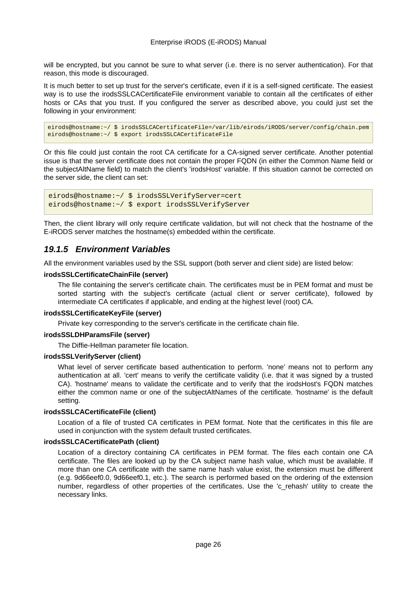will be encrypted, but you cannot be sure to what server (i.e. there is no server authentication). For that reason, this mode is discouraged.

It is much better to set up trust for the server's certificate, even if it is a self-signed certificate. The easiest way is to use the irodsSSLCACertificateFile environment variable to contain all the certificates of either hosts or CAs that you trust. If you configured the server as described above, you could just set the following in your environment:

```
eirods@hostname:~/ $ irodsSSLCACertificateFile=/var/lib/eirods/iRODS/server/config/chain.pem
eirods@hostname:~/ $ export irodsSSLCACertificateFile
```
Or this file could just contain the root CA certificate for a CA-signed server certificate. Another potential issue is that the server certificate does not contain the proper FQDN (in either the Common Name field or the subjectAltName field) to match the client's 'irodsHost' variable. If this situation cannot be corrected on the server side, the client can set:

```
eirods@hostname:~/ $ irodsSSLVerifyServer=cert
eirods@hostname:~/ $ export irodsSSLVerifyServer
```
Then, the client library will only require certificate validation, but will not check that the hostname of the E-iRODS server matches the hostname(s) embedded within the certificate.

### <span id="page-25-0"></span>**19.1.5 Environment Variables**

All the environment variables used by the SSL support (both server and client side) are listed below:

#### **irodsSSLCertificateChainFile (server)**

The file containing the server's certificate chain. The certificates must be in PEM format and must be sorted starting with the subject's certificate (actual client or server certificate), followed by intermediate CA certificates if applicable, and ending at the highest level (root) CA.

#### **irodsSSLCertificateKeyFile (server)**

Private key corresponding to the server's certificate in the certificate chain file.

#### **irodsSSLDHParamsFile (server)**

The Diffie-Hellman parameter file location.

#### **irodsSSLVerifyServer (client)**

What level of server certificate based authentication to perform. 'none' means not to perform any authentication at all. 'cert' means to verify the certificate validity (i.e. that it was signed by a trusted CA). 'hostname' means to validate the certificate and to verify that the irodsHost's FQDN matches either the common name or one of the subjectAltNames of the certificate. 'hostname' is the default setting.

#### **irodsSSLCACertificateFile (client)**

Location of a file of trusted CA certificates in PEM format. Note that the certificates in this file are used in conjunction with the system default trusted certificates.

#### **irodsSSLCACertificatePath (client)**

Location of a directory containing CA certificates in PEM format. The files each contain one CA certificate. The files are looked up by the CA subject name hash value, which must be available. If more than one CA certificate with the same name hash value exist, the extension must be different (e.g. 9d66eef0.0, 9d66eef0.1, etc.). The search is performed based on the ordering of the extension number, regardless of other properties of the certificates. Use the 'c\_rehash' utility to create the necessary links.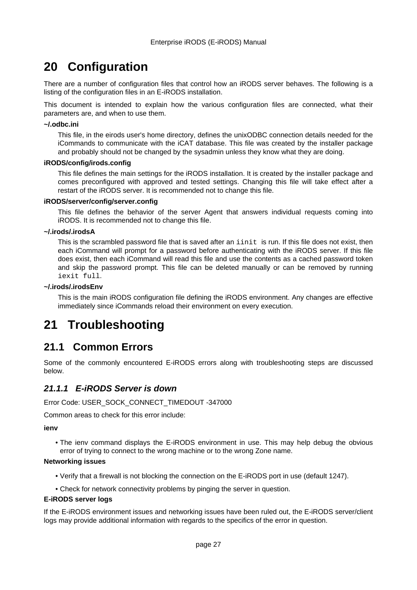# <span id="page-26-0"></span>**20 Configuration**

There are a number of configuration files that control how an iRODS server behaves. The following is a listing of the configuration files in an E-iRODS installation.

This document is intended to explain how the various configuration files are connected, what their parameters are, and when to use them.

#### **~/.odbc.ini**

This file, in the eirods user's home directory, defines the unixODBC connection details needed for the iCommands to communicate with the iCAT database. This file was created by the installer package and probably should not be changed by the sysadmin unless they know what they are doing.

#### **iRODS/config/irods.config**

This file defines the main settings for the iRODS installation. It is created by the installer package and comes preconfigured with approved and tested settings. Changing this file will take effect after a restart of the iRODS server. It is recommended not to change this file.

#### **iRODS/server/config/server.config**

This file defines the behavior of the server Agent that answers individual requests coming into iRODS. It is recommended not to change this file.

#### **~/.irods/.irodsA**

This is the scrambled password file that is saved after an iinit is run. If this file does not exist, then each iCommand will prompt for a password before authenticating with the iRODS server. If this file does exist, then each iCommand will read this file and use the contents as a cached password token and skip the password prompt. This file can be deleted manually or can be removed by running iexit full.

#### **~/.irods/.irodsEnv**

This is the main iRODS configuration file defining the iRODS environment. Any changes are effective immediately since iCommands reload their environment on every execution.

# <span id="page-26-1"></span>**21 Troubleshooting**

## <span id="page-26-2"></span>**21.1 Common Errors**

Some of the commonly encountered E-iRODS errors along with troubleshooting steps are discussed below.

### <span id="page-26-3"></span>**21.1.1 E-iRODS Server is down**

Error Code: USER\_SOCK\_CONNECT\_TIMEDOUT -347000

Common areas to check for this error include:

**ienv**

• The ienv command displays the E-iRODS environment in use. This may help debug the obvious error of trying to connect to the wrong machine or to the wrong Zone name.

#### **Networking issues**

- Verify that a firewall is not blocking the connection on the E-iRODS port in use (default 1247).
- Check for network connectivity problems by pinging the server in question.

#### **E-iRODS server logs**

If the E-iRODS environment issues and networking issues have been ruled out, the E-iRODS server/client logs may provide additional information with regards to the specifics of the error in question.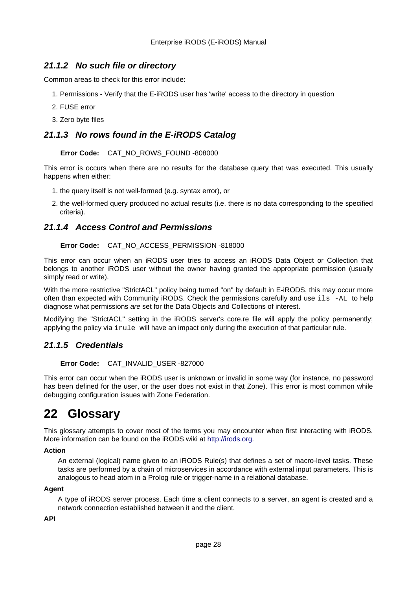### <span id="page-27-0"></span>**21.1.2 No such file or directory**

Common areas to check for this error include:

- 1. Permissions Verify that the E-iRODS user has 'write' access to the directory in question
- 2. FUSE error
- 3. Zero byte files

### <span id="page-27-1"></span>**21.1.3 No rows found in the E-iRODS Catalog**

**Error Code:** CAT\_NO\_ROWS\_FOUND -808000

This error is occurs when there are no results for the database query that was executed. This usually happens when either:

- 1. the query itself is not well-formed (e.g. syntax error), or
- 2. the well-formed query produced no actual results (i.e. there is no data corresponding to the specified criteria).

### <span id="page-27-2"></span>**21.1.4 Access Control and Permissions**

#### **Error Code:** CAT\_NO\_ACCESS\_PERMISSION -818000

This error can occur when an iRODS user tries to access an iRODS Data Object or Collection that belongs to another iRODS user without the owner having granted the appropriate permission (usually simply read or write).

With the more restrictive "StrictACL" policy being turned "on" by default in E-iRODS, this may occur more often than expected with Community iRODS. Check the permissions carefully and use  $ils -AL$  to help diagnose what permissions are set for the Data Objects and Collections of interest.

Modifying the "StrictACL" setting in the iRODS server's core.re file will apply the policy permanently; applying the policy via  $\text{true}$  will have an impact only during the execution of that particular rule.

### <span id="page-27-3"></span>**21.1.5 Credentials**

#### **Error Code:** CAT\_INVALID\_USER -827000

This error can occur when the iRODS user is unknown or invalid in some way (for instance, no password has been defined for the user, or the user does not exist in that Zone). This error is most common while debugging configuration issues with Zone Federation.

# <span id="page-27-4"></span>**22 Glossary**

This glossary attempts to cover most of the terms you may encounter when first interacting with iRODS. More information can be found on the iRODS wiki at<http://irods.org>.

#### **Action**

An external (logical) name given to an iRODS Rule(s) that defines a set of macro-level tasks. These tasks are performed by a chain of microservices in accordance with external input parameters. This is analogous to head atom in a Prolog rule or trigger-name in a relational database.

#### **Agent**

A type of iRODS server process. Each time a client connects to a server, an agent is created and a network connection established between it and the client.

#### **API**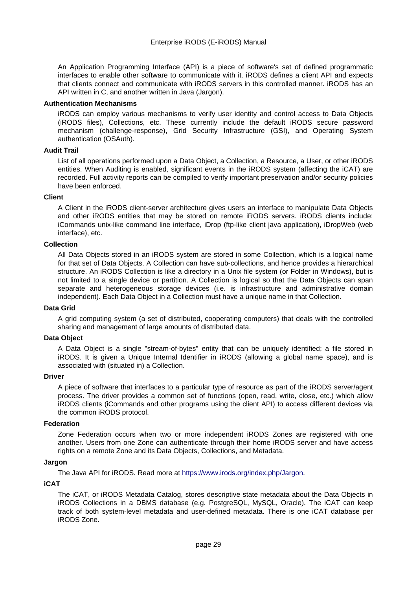An Application Programming Interface (API) is a piece of software's set of defined programmatic interfaces to enable other software to communicate with it. iRODS defines a client API and expects that clients connect and communicate with iRODS servers in this controlled manner. iRODS has an API written in C, and another written in Java (Jargon).

#### **Authentication Mechanisms**

iRODS can employ various mechanisms to verify user identity and control access to Data Objects (iRODS files), Collections, etc. These currently include the default iRODS secure password mechanism (challenge-response), Grid Security Infrastructure (GSI), and Operating System authentication (OSAuth).

#### **Audit Trail**

List of all operations performed upon a Data Object, a Collection, a Resource, a User, or other iRODS entities. When Auditing is enabled, significant events in the iRODS system (affecting the iCAT) are recorded. Full activity reports can be compiled to verify important preservation and/or security policies have been enforced.

#### **Client**

A Client in the iRODS client-server architecture gives users an interface to manipulate Data Objects and other iRODS entities that may be stored on remote iRODS servers. iRODS clients include: iCommands unix-like command line interface, iDrop (ftp-like client java application), iDropWeb (web interface), etc.

#### **Collection**

All Data Objects stored in an iRODS system are stored in some Collection, which is a logical name for that set of Data Objects. A Collection can have sub-collections, and hence provides a hierarchical structure. An iRODS Collection is like a directory in a Unix file system (or Folder in Windows), but is not limited to a single device or partition. A Collection is logical so that the Data Objects can span separate and heterogeneous storage devices (i.e. is infrastructure and administrative domain independent). Each Data Object in a Collection must have a unique name in that Collection.

#### **Data Grid**

A grid computing system (a set of distributed, cooperating computers) that deals with the controlled sharing and management of large amounts of distributed data.

#### **Data Object**

A Data Object is a single "stream-of-bytes" entity that can be uniquely identified; a file stored in iRODS. It is given a Unique Internal Identifier in iRODS (allowing a global name space), and is associated with (situated in) a Collection.

#### **Driver**

A piece of software that interfaces to a particular type of resource as part of the iRODS server/agent process. The driver provides a common set of functions (open, read, write, close, etc.) which allow iRODS clients (iCommands and other programs using the client API) to access different devices via the common iRODS protocol.

#### **Federation**

Zone Federation occurs when two or more independent iRODS Zones are registered with one another. Users from one Zone can authenticate through their home iRODS server and have access rights on a remote Zone and its Data Objects, Collections, and Metadata.

#### **Jargon**

The Java API for iRODS. Read more at [https://www.irods.org/index.php/Jargon.](https://www.irods.org/index.php/Jargon)

#### **iCAT**

The iCAT, or iRODS Metadata Catalog, stores descriptive state metadata about the Data Objects in iRODS Collections in a DBMS database (e.g. PostgreSQL, MySQL, Oracle). The iCAT can keep track of both system-level metadata and user-defined metadata. There is one iCAT database per iRODS Zone.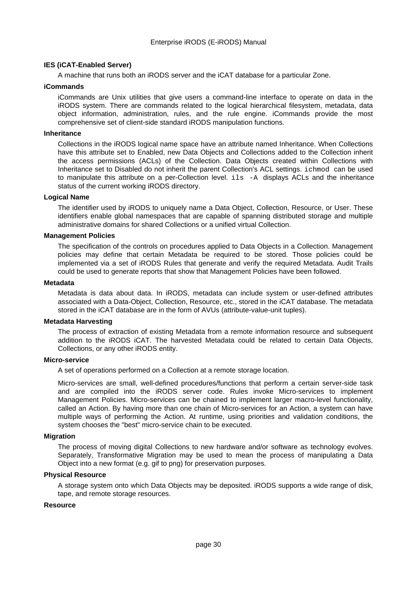#### **IES (iCAT-Enabled Server)**

A machine that runs both an iRODS server and the iCAT database for a particular Zone.

#### **iCommands**

iCommands are Unix utilities that give users a command-line interface to operate on data in the iRODS system. There are commands related to the logical hierarchical filesystem, metadata, data object information, administration, rules, and the rule engine. iCommands provide the most comprehensive set of client-side standard iRODS manipulation functions.

#### **Inheritance**

Collections in the iRODS logical name space have an attribute named Inheritance. When Collections have this attribute set to Enabled, new Data Objects and Collections added to the Collection inherit the access permissions (ACLs) of the Collection. Data Objects created within Collections with Inheritance set to Disabled do not inherit the parent Collection's ACL settings. ichmod can be used to manipulate this attribute on a per-Collection level. ils -A displays ACLs and the inheritance status of the current working iRODS directory.

#### **Logical Name**

The identifier used by iRODS to uniquely name a Data Object, Collection, Resource, or User. These identifiers enable global namespaces that are capable of spanning distributed storage and multiple administrative domains for shared Collections or a unified virtual Collection.

#### **Management Policies**

The specification of the controls on procedures applied to Data Objects in a Collection. Management policies may define that certain Metadata be required to be stored. Those policies could be implemented via a set of iRODS Rules that generate and verify the required Metadata. Audit Trails could be used to generate reports that show that Management Policies have been followed.

#### **Metadata**

Metadata is data about data. In iRODS, metadata can include system or user-defined attributes associated with a Data-Object, Collection, Resource, etc., stored in the iCAT database. The metadata stored in the iCAT database are in the form of AVUs (attribute-value-unit tuples).

#### **Metadata Harvesting**

The process of extraction of existing Metadata from a remote information resource and subsequent addition to the iRODS iCAT. The harvested Metadata could be related to certain Data Objects, Collections, or any other iRODS entity.

#### **Micro-service**

A set of operations performed on a Collection at a remote storage location.

Micro-services are small, well-defined procedures/functions that perform a certain server-side task and are compiled into the iRODS server code. Rules invoke Micro-services to implement Management Policies. Micro-services can be chained to implement larger macro-level functionality, called an Action. By having more than one chain of Micro-services for an Action, a system can have multiple ways of performing the Action. At runtime, using priorities and validation conditions, the system chooses the "best" micro-service chain to be executed.

#### **Migration**

The process of moving digital Collections to new hardware and/or software as technology evolves. Separately, Transformative Migration may be used to mean the process of manipulating a Data Object into a new format (e.g. gif to png) for preservation purposes.

#### **Physical Resource**

A storage system onto which Data Objects may be deposited. iRODS supports a wide range of disk, tape, and remote storage resources.

#### **Resource**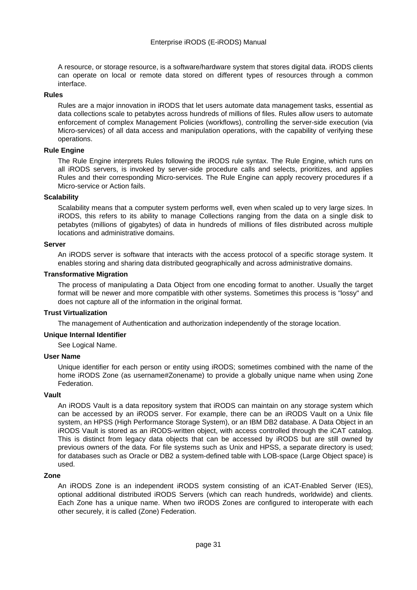A resource, or storage resource, is a software/hardware system that stores digital data. iRODS clients can operate on local or remote data stored on different types of resources through a common interface.

#### **Rules**

Rules are a major innovation in iRODS that let users automate data management tasks, essential as data collections scale to petabytes across hundreds of millions of files. Rules allow users to automate enforcement of complex Management Policies (workflows), controlling the server-side execution (via Micro-services) of all data access and manipulation operations, with the capability of verifying these operations.

#### **Rule Engine**

The Rule Engine interprets Rules following the iRODS rule syntax. The Rule Engine, which runs on all iRODS servers, is invoked by server-side procedure calls and selects, prioritizes, and applies Rules and their corresponding Micro-services. The Rule Engine can apply recovery procedures if a Micro-service or Action fails.

#### **Scalability**

Scalability means that a computer system performs well, even when scaled up to very large sizes. In iRODS, this refers to its ability to manage Collections ranging from the data on a single disk to petabytes (millions of gigabytes) of data in hundreds of millions of files distributed across multiple locations and administrative domains.

#### **Server**

An iRODS server is software that interacts with the access protocol of a specific storage system. It enables storing and sharing data distributed geographically and across administrative domains.

#### **Transformative Migration**

The process of manipulating a Data Object from one encoding format to another. Usually the target format will be newer and more compatible with other systems. Sometimes this process is "lossy" and does not capture all of the information in the original format.

#### **Trust Virtualization**

The management of Authentication and authorization independently of the storage location.

#### **Unique Internal Identifier**

See Logical Name.

#### **User Name**

Unique identifier for each person or entity using iRODS; sometimes combined with the name of the home iRODS Zone (as username#Zonename) to provide a globally unique name when using Zone Federation.

#### **Vault**

An iRODS Vault is a data repository system that iRODS can maintain on any storage system which can be accessed by an iRODS server. For example, there can be an iRODS Vault on a Unix file system, an HPSS (High Performance Storage System), or an IBM DB2 database. A Data Object in an iRODS Vault is stored as an iRODS-written object, with access controlled through the iCAT catalog. This is distinct from legacy data objects that can be accessed by iRODS but are still owned by previous owners of the data. For file systems such as Unix and HPSS, a separate directory is used; for databases such as Oracle or DB2 a system-defined table with LOB-space (Large Object space) is used.

#### **Zone**

An iRODS Zone is an independent iRODS system consisting of an iCAT-Enabled Server (IES), optional additional distributed iRODS Servers (which can reach hundreds, worldwide) and clients. Each Zone has a unique name. When two iRODS Zones are configured to interoperate with each other securely, it is called (Zone) Federation.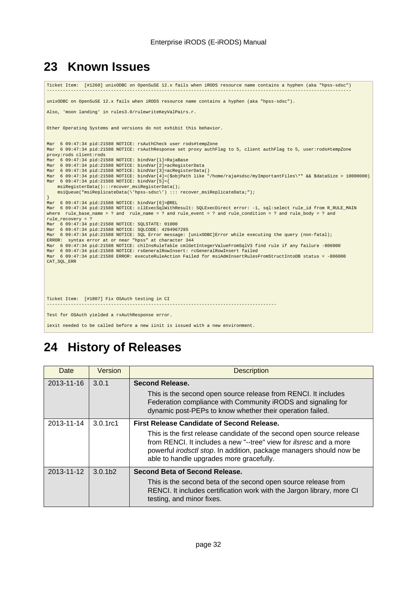# <span id="page-31-0"></span>**23 Known Issues**

```
Ticket Item: [#1260] unixODBC on OpenSuSE 12.x fails when iRODS resource name contains a hyphen (aka "hpss-sdsc")
------------------------------------------------------------------------------------------------------------------
unixODBC on OpenSuSE 12.x fails when iRODS resource name contains a hyphen (aka "hpss-sdsc").
Also, 'moon landing' in rules3.0/rulewriteKeyValPairs.r.
Other Operating Systems and versions do not exhibit this behavior.
Mar 6 09:47:34 pid:21588 NOTICE: rsAuthCheck user rods#tempZone
Mar 6 09:47:34 pid:21588 NOTICE: rsAuthResponse set proxy authFlag to 5, client authFlag to 5, user:rods#tempZone 
proxy:rods client:rods
Mar 6 09:47:34 pid:21588 NOTICE: bindVar[1]=RajaBase
Mar 6 09:47:34 pid:21588 NOTICE: bindVar[2]=acRegisterData
Mar 6 09:47:34 pid:21588 NOTICE: bindVar[3]=acRegisterData()
Mar 6 09:47:34 pid:21588 NOTICE: bindVar[4]=($objPath like "/home/raja#sdsc/myImportantFiles\*" && $dataSize > 10000000)
Mar 6 09:47:34 pid:21588 NOTICE: bindVar[5]={
     msiRegisterData():::recover_msiRegisterData();
     msiQueue("msiReplicateData(\'hpss-sdsc\') ::: recover_msiReplicateData;");
}
Mar 6 09:47:34 pid:21588 NOTICE: bindVar[6]=@REL
Mar 6 09:47:34 pid:21588 NOTICE: cllExecSqlWithResult: SQLExecDirect error: -1, sql:select rule_id from R_RULE_MAIN
where rule_base_name = ? and rule_name = ? and rule_event = ? and rule_condition = ? and rule_body = ? and
rule_recovery = ?
Mar 6 09:47:34 pid:21588 NOTICE: SQLSTATE: 01000
Mar 6 09:47:34 pid:21588 NOTICE: SQLCODE: 4294967295
Mar 6 09:47:34 pid:21588 NOTICE: SQL Error message: [unixODBC]Error while executing the query (non-fatal);<br>ERROR: syntax error at or near "hoss" at character 344
        syntax error at or near "hpss" at character 344
Mar 6 09:47:34 pid:21588 NOTICE: chlInsRuleTable cmlGetIntegerValueFromSqlV3 find rule if any failure -806000
Mar 6 09:47:34 pid:21588 NOTICE: rsGeneralRowInsert: rcGeneralRowInsert failed
Mar 6 09:47:34 pid:21588 ERROR: executeRuleAction Failed for msiAdmInsertRulesFromStructIntoDB status = -806000 
CAT_SQL_ERR
Ticket Item: [#1807] Fix OSAuth testing in CI
                                                   --------------------------------------------------------------------------------------
Test for OSAuth yielded a rxAuthResponse error.
iexit needed to be called before a new iinit is issued with a new environment.
```
# <span id="page-31-1"></span>**24 History of Releases**

| Date       | Version             | <b>Description</b>                                                                                                                                                                                                                                                                                                                 |  |
|------------|---------------------|------------------------------------------------------------------------------------------------------------------------------------------------------------------------------------------------------------------------------------------------------------------------------------------------------------------------------------|--|
| 2013-11-16 | 3.0.1               | <b>Second Release.</b><br>This is the second open source release from RENCI. It includes<br>Federation compliance with Community iRODS and signaling for<br>dynamic post-PEPs to know whether their operation failed.                                                                                                              |  |
| 2013-11-14 | $3.0.1 \text{rc}$ 1 | <b>First Release Candidate of Second Release.</b><br>This is the first release candidate of the second open source release<br>from RENCI. It includes a new "--tree" view for <i>ilsresc</i> and a more<br>powerful <i>irodsctl stop</i> . In addition, package managers should now be<br>able to handle upgrades more gracefully. |  |
| 2013-11-12 | 3.0.1 <sub>b2</sub> | Second Beta of Second Release.<br>This is the second beta of the second open source release from<br>RENCI. It includes certification work with the Jargon library, more CI<br>testing, and minor fixes.                                                                                                                            |  |